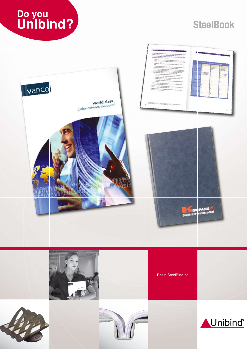## Do you<br>Unibind?

## **SteelBook**